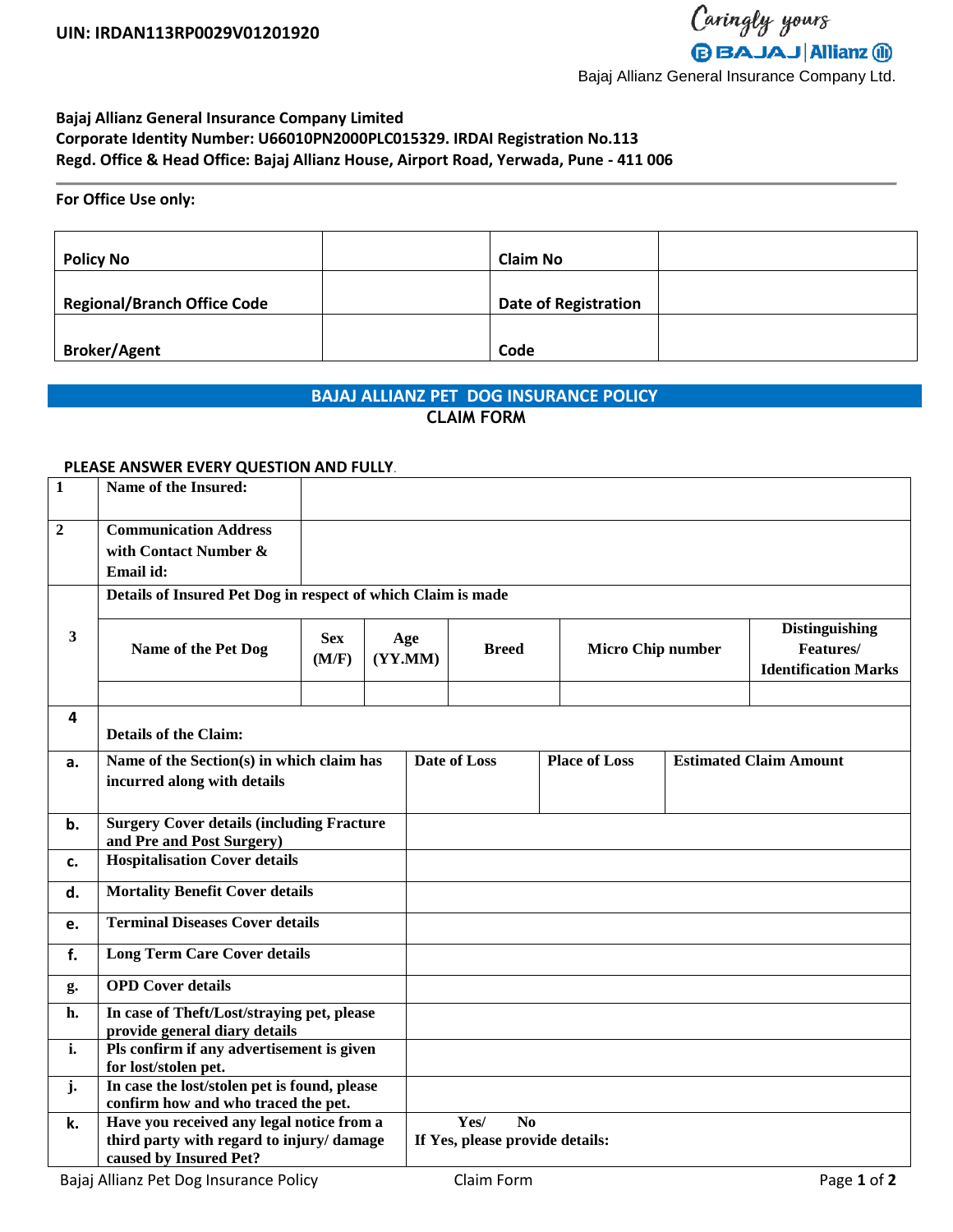### **Bajaj Allianz General Insurance Company Limited Corporate Identity Number: U66010PN2000PLC015329. IRDAI Registration No.113 Regd. Office & Head Office: Bajaj Allianz House, Airport Road, Yerwada, Pune - 411 006**

### **For Office Use only:**

| <b>Policy No</b>                   | <b>Claim No</b>             |  |
|------------------------------------|-----------------------------|--|
| <b>Regional/Branch Office Code</b> | <b>Date of Registration</b> |  |
| <b>Broker/Agent</b>                | Code                        |  |

# **BAJAJ ALLIANZ PET DOG INSURANCE POLICY**

## **CLAIM FORM**

#### **PLEASE ANSWER EVERY QUESTION AND FULLY**.

| $\mathbf{1}$ | Name of the Insured:                                              |                             |                |                        |                                 |  |                          |                               |                                                                   |
|--------------|-------------------------------------------------------------------|-----------------------------|----------------|------------------------|---------------------------------|--|--------------------------|-------------------------------|-------------------------------------------------------------------|
| $\mathbf{2}$ | <b>Communication Address</b>                                      |                             |                |                        |                                 |  |                          |                               |                                                                   |
|              | with Contact Number &                                             |                             |                |                        |                                 |  |                          |                               |                                                                   |
|              | Email id:                                                         |                             |                |                        |                                 |  |                          |                               |                                                                   |
|              | Details of Insured Pet Dog in respect of which Claim is made      |                             |                |                        |                                 |  |                          |                               |                                                                   |
| $\mathbf{3}$ | Name of the Pet Dog                                               | <b>Sex</b><br>(M/F)         | Age<br>(YY.MM) |                        | <b>Breed</b>                    |  | <b>Micro Chip number</b> |                               | <b>Distinguishing</b><br>Features/<br><b>Identification Marks</b> |
|              |                                                                   |                             |                |                        |                                 |  |                          |                               |                                                                   |
| 4            | <b>Details of the Claim:</b>                                      |                             |                |                        |                                 |  |                          |                               |                                                                   |
| a.           | Name of the Section(s) in which claim has                         |                             |                | Date of Loss           |                                 |  | <b>Place of Loss</b>     | <b>Estimated Claim Amount</b> |                                                                   |
|              |                                                                   | incurred along with details |                |                        |                                 |  |                          |                               |                                                                   |
| b.           | <b>Surgery Cover details (including Fracture</b>                  |                             |                |                        |                                 |  |                          |                               |                                                                   |
|              | and Pre and Post Surgery)                                         |                             |                |                        |                                 |  |                          |                               |                                                                   |
| c.           | <b>Hospitalisation Cover details</b>                              |                             |                |                        |                                 |  |                          |                               |                                                                   |
| d.           | <b>Mortality Benefit Cover details</b>                            |                             |                |                        |                                 |  |                          |                               |                                                                   |
| e.           | <b>Terminal Diseases Cover details</b>                            |                             |                |                        |                                 |  |                          |                               |                                                                   |
| f.           | <b>Long Term Care Cover details</b>                               |                             |                |                        |                                 |  |                          |                               |                                                                   |
| g.           | <b>OPD</b> Cover details                                          |                             |                |                        |                                 |  |                          |                               |                                                                   |
| h.           | In case of Theft/Lost/straying pet, please                        |                             |                |                        |                                 |  |                          |                               |                                                                   |
| i.           | provide general diary details                                     |                             |                |                        |                                 |  |                          |                               |                                                                   |
|              | Pls confirm if any advertisement is given<br>for lost/stolen pet. |                             |                |                        |                                 |  |                          |                               |                                                                   |
| j.           | In case the lost/stolen pet is found, please                      |                             |                |                        |                                 |  |                          |                               |                                                                   |
|              | confirm how and who traced the pet.                               |                             |                |                        |                                 |  |                          |                               |                                                                   |
| k.           | Have you received any legal notice from a                         |                             |                | Yes/<br>N <sub>0</sub> |                                 |  |                          |                               |                                                                   |
|              | third party with regard to injury/ damage                         |                             |                |                        | If Yes, please provide details: |  |                          |                               |                                                                   |
|              | caused by Insured Pet?                                            |                             |                |                        |                                 |  |                          |                               |                                                                   |